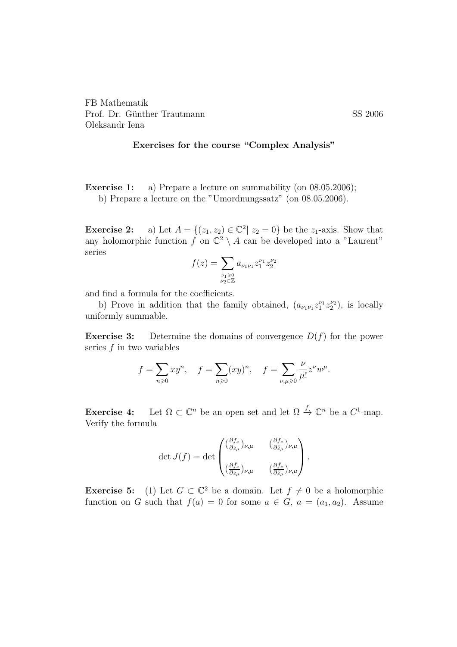## Exercises for the course "Complex Analysis"

**Exercise 1:** a) Prepare a lecture on summability (on 08.05.2006); b) Prepare a lecture on the "Umordnungssatz" (on 08.05.2006).

**Exercise 2:** a) Let  $A = \{(z_1, z_2) \in \mathbb{C}^2 | z_2 = 0\}$  be the  $z_1$ -axis. Show that any holomorphic function f on  $\mathbb{C}^2 \setminus A$  can be developed into a "Laurent" series

$$
f(z) = \sum_{\substack{\nu_1 \ge 0 \\ \nu_2 \in \mathbb{Z}}} a_{\nu_1 \nu_1} z_1^{\nu_1} z_2^{\nu_2}
$$

and find a formula for the coefficients.

b) Prove in addition that the family obtained,  $(a_{\nu_1\nu_1}z_1^{\nu_1}z_2^{\nu_2})$ , is locally uniformly summable.

**Exercise 3:** Determine the domains of convergence  $D(f)$  for the power series  $f$  in two variables

$$
f = \sum_{n\geqslant 0}xy^n, \quad f = \sum_{n\geqslant 0}(xy)^n, \quad f = \sum_{\nu,\mu\geqslant 0}\frac{\nu}{\mu!}z^{\nu}w^{\mu}.
$$

**Exercise 4:** Let  $\Omega \subset \mathbb{C}^n$  be an open set and let  $\Omega \to \mathbb{C}^n$  be a  $C^1$ -map. Verify the formula

$$
\det J(f) = \det \begin{pmatrix} (\frac{\partial f_{\nu}}{\partial z_{\mu}})_{\nu,\mu} & (\frac{\partial f_{\nu}}{\partial \bar{z}_{\mu}})_{\nu,\mu} \\ (\frac{\partial \bar{f}_{\nu}}{\partial z_{\mu}})_{\nu,\mu} & (\frac{\partial \bar{f}_{\nu}}{\partial \bar{z}_{\mu}})_{\nu,\mu} \end{pmatrix}.
$$

**Exercise 5:** (1) Let  $G \subset \mathbb{C}^2$  be a domain. Let  $f \neq 0$  be a holomorphic function on G such that  $f(a) = 0$  for some  $a \in G$ ,  $a = (a_1, a_2)$ . Assume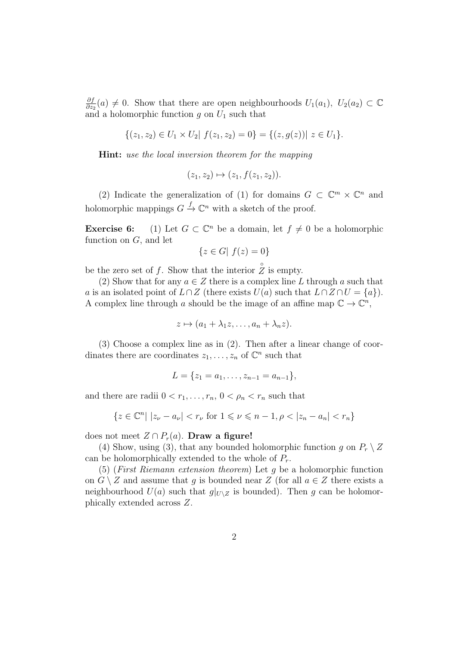∂f  $\frac{\partial f}{\partial z_2}(a) \neq 0$ . Show that there are open neighbourhoods  $U_1(a_1)$ ,  $U_2(a_2) \subset \mathbb{C}$ and a holomorphic function g on  $U_1$  such that

$$
\{(z_1, z_2) \in U_1 \times U_2 | f(z_1, z_2) = 0\} = \{(z, g(z)) | z \in U_1\}.
$$

Hint: use the local inversion theorem for the mapping

$$
(z_1, z_2) \mapsto (z_1, f(z_1, z_2)).
$$

(2) Indicate the generalization of (1) for domains  $G \subset \mathbb{C}^m \times \mathbb{C}^n$  and holomorphic mappings  $G \stackrel{f}{\to} \mathbb{C}^n$  with a sketch of the proof.

**Exercise 6:** (1) Let  $G \subset \mathbb{C}^n$  be a domain, let  $f \neq 0$  be a holomorphic function on  $G$ , and let

$$
\{z \in G | f(z) = 0\}
$$

be the zero set of f. Show that the interior  $\hat{Z}$  is empty.

(2) Show that for any  $a \in \mathbb{Z}$  there is a complex line L through a such that a is an isolated point of  $L \cap Z$  (there exists  $U(a)$  such that  $L \cap Z \cap U = \{a\}$ ). A complex line through a should be the image of an affine map  $\mathbb{C} \to \mathbb{C}^n$ ,

$$
z \mapsto (a_1 + \lambda_1 z, \dots, a_n + \lambda_n z).
$$

(3) Choose a complex line as in (2). Then after a linear change of coordinates there are coordinates  $z_1, \ldots, z_n$  of  $\mathbb{C}^n$  such that

$$
L = \{z_1 = a_1, \ldots, z_{n-1} = a_{n-1}\},\
$$

and there are radii  $0 < r_1, \ldots, r_n, 0 < \rho_n < r_n$  such that

$$
\{z \in \mathbb{C}^n | |z_{\nu} - a_{\nu}| < r_{\nu} \text{ for } 1 \leq \nu \leq n - 1, \rho < |z_n - a_n| < r_n\}
$$

does not meet  $Z \cap P_r(a)$ . Draw a figure!

(4) Show, using (3), that any bounded holomorphic function g on  $P_r \setminus Z$ can be holomorphically extended to the whole of  $P_r$ .

(5) (First Riemann extension theorem) Let g be a holomorphic function on  $G \setminus Z$  and assume that q is bounded near Z (for all  $a \in Z$  there exists a neighbourhood  $U(a)$  such that  $g|_{U\setminus Z}$  is bounded). Then g can be holomorphically extended across Z.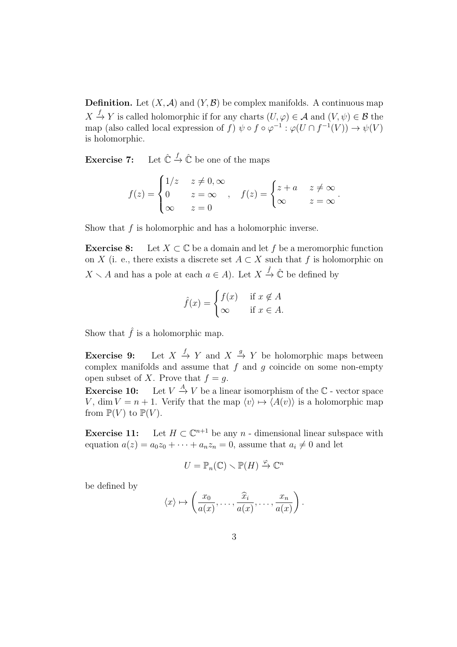**Definition.** Let  $(X, \mathcal{A})$  and  $(Y, \mathcal{B})$  be complex manifolds. A continuous map  $X \stackrel{f}{\to} Y$  is called holomorphic if for any charts  $(U, \varphi) \in \mathcal{A}$  and  $(V, \psi) \in \mathcal{B}$  the map (also called local expression of f)  $\psi \circ f \circ \varphi^{-1} : \varphi(U \cap f^{-1}(V)) \to \psi(V)$ is holomorphic.

Exercise 7:  $\stackrel{f}{\rightarrow} \hat{\mathbb{C}}$  be one of the maps

$$
f(z) = \begin{cases} 1/z & z \neq 0, \infty \\ 0 & z = \infty \\ \infty & z = 0 \end{cases}, \quad f(z) = \begin{cases} z + a & z \neq \infty \\ \infty & z = \infty \end{cases}.
$$

Show that  $f$  is holomorphic and has a holomorphic inverse.

**Exercise 8:** Let  $X \subset \mathbb{C}$  be a domain and let f be a meromorphic function on X (i. e., there exists a discrete set  $A \subset X$  such that f is holomorphic on  $X \setminus A$  and has a pole at each  $a \in A$ ). Let  $X \xrightarrow{\hat{f}} \hat{\mathbb{C}}$  be defined by

$$
\hat{f}(x) = \begin{cases} f(x) & \text{if } x \notin A \\ \infty & \text{if } x \in A. \end{cases}
$$

Show that  $\hat{f}$  is a holomorphic map.

Exercise 9:  $\stackrel{f}{\rightarrow} Y$  and  $X \stackrel{g}{\rightarrow} Y$  be holomorphic maps between complex manifolds and assume that  $f$  and  $g$  coincide on some non-empty open subset of X. Prove that  $f = q$ .

**Exercise 10:** Let  $V \stackrel{A}{\rightarrow} V$  be a linear isomorphism of the  $\mathbb{C}$  - vector space V, dim  $V = n + 1$ . Verify that the map  $\langle v \rangle \mapsto \langle A(v) \rangle$  is a holomorphic map from  $\mathbb{P}(V)$  to  $\mathbb{P}(V)$ .

Exercise 11: Let  $H \subset \mathbb{C}^{n+1}$  be any n - dimensional linear subspace with equation  $a(z) = a_0z_0 + \cdots + a_nz_n = 0$ , assume that  $a_i \neq 0$  and let

$$
U=\mathbb{P}_n(\mathbb{C})\setminus\mathbb{P}(H)\xrightarrow{\varphi}\mathbb{C}^n
$$

be defined by

$$
\langle x \rangle \mapsto \left(\frac{x_0}{a(x)}, \dots, \frac{\widehat{x}_i}{a(x)}, \dots, \frac{x_n}{a(x)}\right).
$$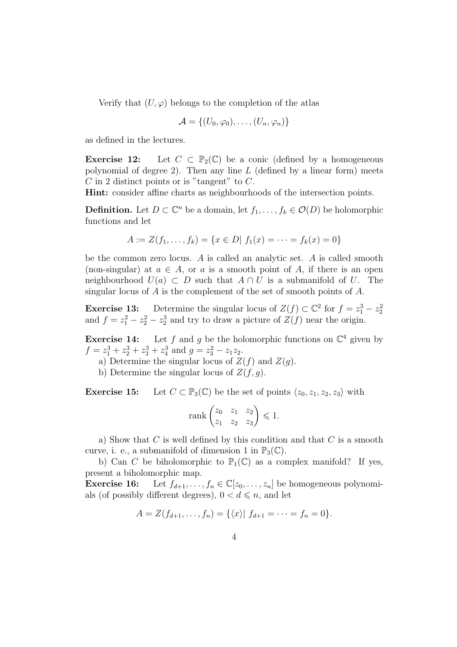Verify that  $(U, \varphi)$  belongs to the completion of the atlas

$$
\mathcal{A} = \{(U_0, \varphi_0), \ldots, (U_n, \varphi_n)\}
$$

as defined in the lectures.

**Exercise 12:** Let  $C \subset \mathbb{P}_2(\mathbb{C})$  be a conic (defined by a homogeneous polynomial of degree 2). Then any line  $L$  (defined by a linear form) meets  $C$  in 2 distinct points or is "tangent" to  $C$ .

Hint: consider affine charts as neighbourhoods of the intersection points.

**Definition.** Let  $D \subset \mathbb{C}^n$  be a domain, let  $f_1, \ldots, f_k \in \mathcal{O}(D)$  be holomorphic functions and let

$$
A := Z(f_1, \dots, f_k) = \{x \in D | f_1(x) = \dots = f_k(x) = 0\}
$$

be the common zero locus. A is called an analytic set. A is called smooth (non-singular) at  $a \in A$ , or a is a smooth point of A, if there is an open neighbourhood  $U(a) \subset D$  such that  $A \cap U$  is a submanifold of U. The singular locus of A is the complement of the set of smooth points of A.

**Exercise 13:** Determine the singular locus of  $Z(f) \subset \mathbb{C}^2$  for  $f = z_1^3 - z_2^2$ and  $f = z_1^2 - z_2^2 - z_2^3$  and try to draw a picture of  $Z(f)$  near the origin.

**Exercise 14:** Let f and g be the holomorphic functions on  $\mathbb{C}^4$  given by  $f = z_1^3 + z_2^3 + z_3^3 + z_4^3$  and  $g = z_3^2 - z_1 z_2$ .

a) Determine the singular locus of  $Z(f)$  and  $Z(g)$ .

b) Determine the singular locus of  $Z(f, g)$ .

**Exercise 15:** Let  $C \subset \mathbb{P}_3(\mathbb{C})$  be the set of points  $\langle z_0, z_1, z_2, z_3 \rangle$  with

$$
\operatorname{rank}\begin{pmatrix} z_0 & z_1 & z_2 \\ z_1 & z_2 & z_3 \end{pmatrix} \leq 1.
$$

a) Show that  $C$  is well defined by this condition and that  $C$  is a smooth curve, i. e., a submanifold of dimension 1 in  $\mathbb{P}_3(\mathbb{C})$ .

b) Can C be biholomorphic to  $\mathbb{P}_1(\mathbb{C})$  as a complex manifold? If yes, present a biholomorphic map.

**Exercise 16:** Let  $f_{d+1}, \ldots, f_n \in \mathbb{C}[z_0, \ldots, z_n]$  be homogeneous polynomials (of possibly different degrees),  $0 < d \le n$ , and let

$$
A = Z(f_{d+1}, \ldots, f_n) = \{ \langle x \rangle | f_{d+1} = \cdots = f_n = 0 \}.
$$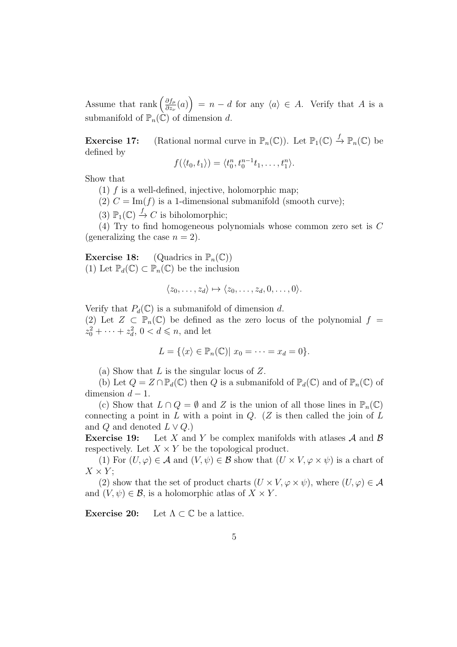Assume that rank  $\left(\frac{\partial f_\mu}{\partial z}\right)$  $\left(\frac{\partial f_\mu}{\partial z_\nu}(a)\right) = n - d$  for any  $\langle a \rangle \in A$ . Verify that A is a submanifold of  $\mathbb{P}_n(\mathbb{C})$  of dimension d.

**Exercise 17:** (Rational normal curve in  $\mathbb{P}_n(\mathbb{C})$ ). Let  $\mathbb{P}_1(\mathbb{C}) \stackrel{f}{\to} \mathbb{P}_n(\mathbb{C})$  be defined by

$$
f(\langle t_0, t_1 \rangle) = \langle t_0^n, t_0^{n-1}t_1, \ldots, t_1^n \rangle.
$$

Show that

- (1)  $f$  is a well-defined, injective, holomorphic map;
- (2)  $C = \text{Im}(f)$  is a 1-dimensional submanifold (smooth curve);
- (3)  $\mathbb{P}_1(\mathbb{C}) \stackrel{f}{\to} C$  is biholomorphic;

(4) Try to find homogeneous polynomials whose common zero set is C (generalizing the case  $n = 2$ ).

**Exercise 18:** (Quadrics in  $\mathbb{P}_n(\mathbb{C})$ ) (1) Let  $\mathbb{P}_d(\mathbb{C}) \subset \mathbb{P}_n(\mathbb{C})$  be the inclusion

$$
\langle z_0,\ldots,z_d\rangle\mapsto\langle z_0,\ldots,z_d,0,\ldots,0\rangle.
$$

Verify that  $P_d(\mathbb{C})$  is a submanifold of dimension d.

(2) Let  $Z \subset \mathbb{P}_n(\mathbb{C})$  be defined as the zero locus of the polynomial  $f =$  $z_0^2 + \cdots + z_d^2$ ,  $0 < d \le n$ , and let

$$
L = \{ \langle x \rangle \in \mathbb{P}_n(\mathbb{C}) | x_0 = \cdots = x_d = 0 \}.
$$

(a) Show that  $L$  is the singular locus of  $Z$ .

(b) Let  $Q = Z \cap \mathbb{P}_d(\mathbb{C})$  then Q is a submanifold of  $\mathbb{P}_d(\mathbb{C})$  and of  $\mathbb{P}_n(\mathbb{C})$  of dimension  $d - 1$ .

(c) Show that  $L \cap Q = \emptyset$  and Z is the union of all those lines in  $\mathbb{P}_n(\mathbb{C})$ connecting a point in  $L$  with a point in  $Q$ . (Z is then called the join of  $L$ and Q and denoted  $L \vee Q$ .)

**Exercise 19:** Let X and Y be complex manifolds with atlases A and B respectively. Let  $X \times Y$  be the topological product.

(1) For  $(U, \varphi) \in \mathcal{A}$  and  $(V, \psi) \in \mathcal{B}$  show that  $(U \times V, \varphi \times \psi)$  is a chart of  $X \times Y$ 

(2) show that the set of product charts  $(U \times V, \varphi \times \psi)$ , where  $(U, \varphi) \in \mathcal{A}$ and  $(V, \psi) \in \mathcal{B}$ , is a holomorphic atlas of  $X \times Y$ .

**Exercise 20:** Let  $\Lambda \subset \mathbb{C}$  be a lattice.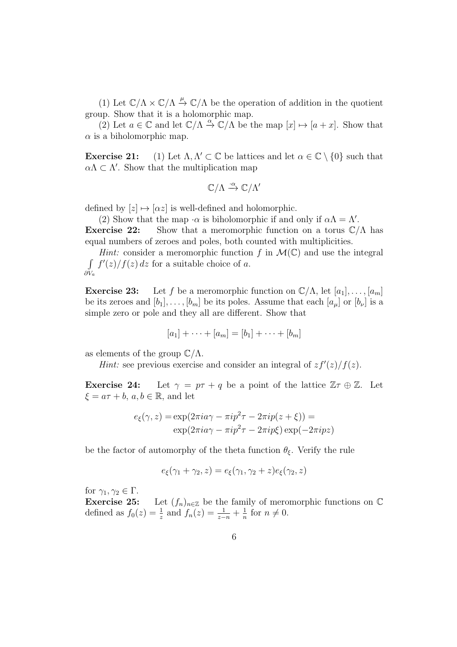(1) Let  $\mathbb{C}/\Lambda \times \mathbb{C}/\Lambda \stackrel{\mu}{\to} \mathbb{C}/\Lambda$  be the operation of addition in the quotient group. Show that it is a holomorphic map.

(2) Let  $a \in \mathbb{C}$  and let  $\mathbb{C}/\Lambda \stackrel{\alpha}{\to} \mathbb{C}/\Lambda$  be the map  $[x] \mapsto [a+x]$ . Show that  $\alpha$  is a biholomorphic map.

Exercise 21: (1) Let  $\Lambda, \Lambda' \subset \mathbb{C}$  be lattices and let  $\alpha \in \mathbb{C} \setminus \{0\}$  such that  $\alpha \Lambda \subset \Lambda'$ . Show that the multiplication map

$$
\mathbb{C}/\Lambda \xrightarrow{\cdot \alpha} \mathbb{C}/\Lambda'
$$

defined by  $[z] \mapsto [\alpha z]$  is well-defined and holomorphic.

(2) Show that the map  $\cdot \alpha$  is biholomorphic if and only if  $\alpha \Lambda = \Lambda'$ . **Exercise 22:** Show that a meromorphic function on a torus  $\mathbb{C}/\Lambda$  has equal numbers of zeroes and poles, both counted with multiplicities.

*Hint:* consider a meromorphic function f in  $\mathcal{M}(\mathbb{C})$  and use the integral R  $\partial V_a$  $f'(z)/f(z) dz$  for a suitable choice of a.

**Exercise 23:** Let f be a meromorphic function on  $\mathbb{C}/\Lambda$ , let  $[a_1], \ldots, [a_m]$ be its zeroes and  $[b_1], \ldots, [b_m]$  be its poles. Assume that each  $[a_\mu]$  or  $[b_\nu]$  is a simple zero or pole and they all are different. Show that

$$
[a_1] + \cdots + [a_m] = [b_1] + \cdots + [b_m]
$$

as elements of the group  $\mathbb{C}/\Lambda$ .

*Hint*: see previous exercise and consider an integral of  $zf'(z)/f(z)$ .

**Exercise 24:** Let  $\gamma = p\tau + q$  be a point of the lattice  $\mathbb{Z}\tau \oplus \mathbb{Z}$ . Let  $\xi = a\tau + b, a, b \in \mathbb{R}$ , and let

$$
e_{\xi}(\gamma, z) = \exp(2\pi i a \gamma - \pi i p^2 \tau - 2\pi i p(z + \xi)) =
$$
  
 
$$
\exp(2\pi i a \gamma - \pi i p^2 \tau - 2\pi i p \xi) \exp(-2\pi i p z)
$$

be the factor of automorphy of the theta function  $\theta_{\xi}$ . Verify the rule

$$
e_{\xi}(\gamma_1 + \gamma_2, z) = e_{\xi}(\gamma_1, \gamma_2 + z)e_{\xi}(\gamma_2, z)
$$

for  $\gamma_1, \gamma_2 \in \Gamma$ .

**Exercise 25:** Let  $(f_n)_{n\in\mathbb{Z}}$  be the family of meromorphic functions on  $\mathbb{C}$ defined as  $f_0(z) = \frac{1}{z}$  and  $f_n(z) = \frac{1}{z-n} + \frac{1}{n}$  $\frac{1}{n}$  for  $n \neq 0$ .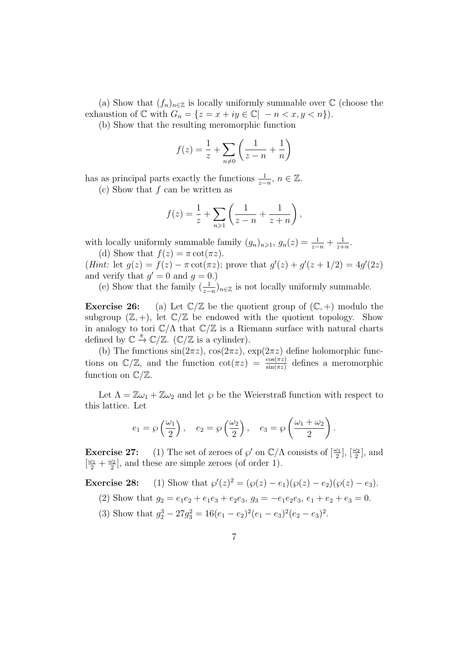(a) Show that  $(f_n)_{n\in\mathbb{Z}}$  is locally uniformly summable over  $\mathbb C$  (choose the exhaustion of  $\mathbb C$  with  $G_n = \{z = x + iy \in \mathbb C | -n < x, y < n\}.$ 

(b) Show that the resulting meromorphic function

$$
f(z) = \frac{1}{z} + \sum_{n \neq 0} \left( \frac{1}{z - n} + \frac{1}{n} \right)
$$

has as principal parts exactly the functions  $\frac{1}{z-n}$ ,  $n \in \mathbb{Z}$ .

(c) Show that f can be written as

$$
f(z) = \frac{1}{z} + \sum_{n \ge 1} \left( \frac{1}{z - n} + \frac{1}{z + n} \right),
$$

with locally uniformly summable family  $(g_n)_{n\geqslant 1}$ ,  $g_n(z) = \frac{1}{z-n} + \frac{1}{z+n}$  $rac{1}{z+n}$ .

(d) Show that  $f(z) = \pi \cot(\pi z)$ . (*Hint*: let  $g(z) = f(z) - \pi \cot(\pi z)$ ; prove that  $g'(z) + g'(z + 1/2) = 4g'(2z)$ and verify that  $g' = 0$  and  $g = 0$ .)

(e) Show that the family  $(\frac{1}{z-n})_{n\in\mathbb{Z}}$  is not locally uniformly summable.

**Exercise 26:** (a) Let  $\mathbb{C}/\mathbb{Z}$  be the quotient group of  $(\mathbb{C}, +)$  modulo the subgroup  $(\mathbb{Z}, +)$ , let  $\mathbb{C}/\mathbb{Z}$  be endowed with the quotient topology. Show in analogy to tori  $\mathbb{C}/\Lambda$  that  $\mathbb{C}/\mathbb{Z}$  is a Riemann surface with natural charts defined by  $\mathbb{C} \stackrel{\pi}{\rightarrow} \mathbb{C}/\mathbb{Z}$ . ( $\mathbb{C}/\mathbb{Z}$  is a cylinder).

(b) The functions  $sin(2\pi z)$ ,  $cos(2\pi z)$ ,  $exp(2\pi z)$  define holomorphic functions on  $\mathbb{C}/\mathbb{Z}$ , and the function  $\cot(\pi z) = \frac{\cos(\pi z)}{\sin(\pi z)}$  defines a meromorphic function on  $\mathbb{C}/\mathbb{Z}$ .

Let  $\Lambda = \mathbb{Z}\omega_1 + \mathbb{Z}\omega_2$  and let  $\wp$  be the Weierstraß function with respect to this lattice. Let

$$
e_1 = \wp\left(\frac{\omega_1}{2}\right), \quad e_2 = \wp\left(\frac{\omega_2}{2}\right), \quad e_3 = \wp\left(\frac{\omega_1 + \omega_2}{2}\right).
$$

**Exercise 27:** (1) The set of zeroes of  $\wp'$  on  $\mathbb{C}/\Lambda$  consists of  $\left[\frac{\omega_1}{2}\right], \left[\frac{\omega_2}{2}\right]$ , and  $[\frac{\omega_1}{2}+\frac{\omega_2}{2}$  $\frac{\omega_2}{2}$ , and these are simple zeroes (of order 1).

**Exercise 28:** (1) Show that  $\wp'(z)^2 = (\wp(z) - e_1)(\wp(z) - e_2)(\wp(z) - e_3)$ .

- (2) Show that  $g_2 = e_1e_2 + e_1e_3 + e_2e_3$ ,  $g_3 = -e_1e_2e_3$ ,  $e_1 + e_2 + e_3 = 0$ .
- (3) Show that  $g_2^3 27g_3^2 = 16(e_1 e_2)^2(e_1 e_3)^2(e_2 e_3)^2$ .